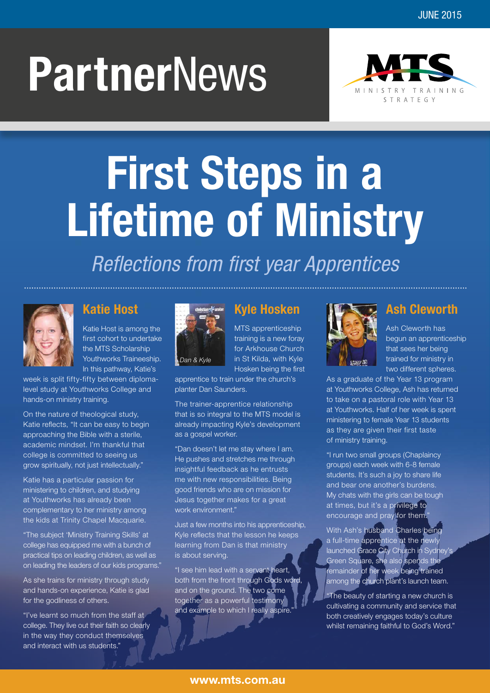# **Partner**News



# **First Steps in a Lifetime of Ministry**

#### *Reflections from first year Apprentices*



#### **Katie Host**

Katie Host is among the first cohort to undertake the MTS Scholarship Youthworks Traineeship. In this pathway, Katie's

week is split fifty-fifty between diplomalevel study at Youthworks College and hands-on ministry training.

On the nature of theological study, Katie reflects, "It can be easy to begin approaching the Bible with a sterile, academic mindset. I'm thankful that college is committed to seeing us grow spiritually, not just intellectually."

Katie has a particular passion for ministering to children, and studying at Youthworks has already been complementary to her ministry among the kids at Trinity Chapel Macquarie.

"The subject 'Ministry Training Skills' at college has equipped me with a bunch of practical tips on leading children, as well as on leading the leaders of our kids programs."

As she trains for ministry through study and hands-on experience, Katie is glad for the godliness of others.

"I've learnt so much from the staff at college. They live out their faith so clearly in the way they conduct themselves and interact with us students."



#### **Kyle Hosken**

MTS apprenticeship training is a new foray for Arkhouse Church in St Kilda, with Kyle Hosken being the first

apprentice to train under the church's planter Dan Saunders.

The trainer-apprentice relationship that is so integral to the MTS model is already impacting Kyle's development as a gospel worker.

"Dan doesn't let me stay where I am. He pushes and stretches me through insightful feedback as he entrusts me with new responsibilities. Being good friends who are on mission for Jesus together makes for a great work environment."

Just a few months into his apprenticeship, Kyle reflects that the lesson he keeps learning from Dan is that ministry is about serving.

"I see him lead with a servant heart, both from the front through Gods word, and on the ground. The two come together as a powerful testimony and example to which I really aspire



#### **Ash Cleworth**

Ash Cleworth has begun an apprenticeship that sees her being trained for ministry in two different spheres.

As a graduate of the Year 13 program at Youthworks College, Ash has returned to take on a pastoral role with Year 13 at Youthworks. Half of her week is spent ministering to female Year 13 students as they are given their first taste of ministry training.

"I run two small groups (Chaplaincy groups) each week with 6-8 female students. It's such a joy to share life and bear one another's burdens. My chats with the girls can be tough at times, but it's a privilege to encourage and pray for them."

With Ash's husband Charles being a full-time apprentice at the newly launched Grace City Church in Sydney's Green Square, she also spends the remainder of her week being trained among the church plant's launch team.

"The beauty of starting a new church is cultivating a community and service that both creatively engages today's culture whilst remaining faithful to God's Word."

#### **www.mts.com.au**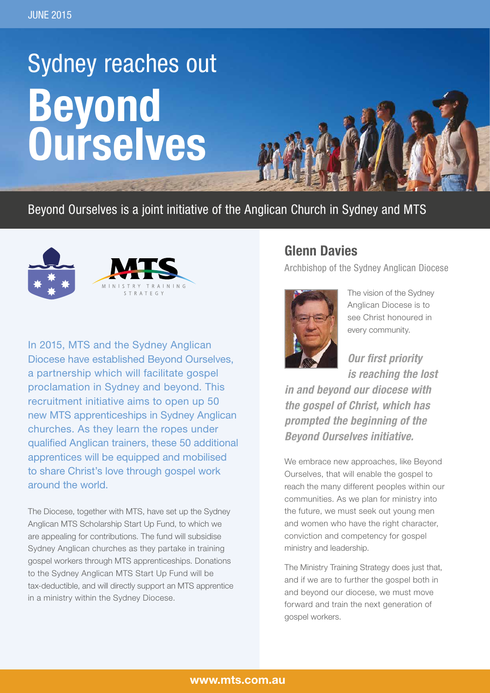### Sydney reaches out **Beyond Ourselves**

#### Beyond Ourselves is a joint initiative of the Anglican Church in Sydney and MTS



In 2015, MTS and the Sydney Anglican Diocese have established Beyond Ourselves, a partnership which will facilitate gospel proclamation in Sydney and beyond. This recruitment initiative aims to open up 50 new MTS apprenticeships in Sydney Anglican churches. As they learn the ropes under qualified Anglican trainers, these 50 additional apprentices will be equipped and mobilised to share Christ's love through gospel work around the world.

The Diocese, together with MTS, have set up the Sydney Anglican MTS Scholarship Start Up Fund, to which we are appealing for contributions. The fund will subsidise Sydney Anglican churches as they partake in training gospel workers through MTS apprenticeships. Donations to the Sydney Anglican MTS Start Up Fund will be tax-deductible, and will directly support an MTS apprentice in a ministry within the Sydney Diocese.

#### **Glenn Davies**

Archbishop of the Sydney Anglican Diocese



The vision of the Sydney Anglican Diocese is to see Christ honoured in every community.

*Our first priority is reaching the lost* 

*in and beyond our diocese with the gospel of Christ, which has prompted the beginning of the Beyond Ourselves initiative.*

We embrace new approaches, like Beyond Ourselves, that will enable the gospel to reach the many different peoples within our communities. As we plan for ministry into the future, we must seek out young men and women who have the right character, conviction and competency for gospel ministry and leadership.

The Ministry Training Strategy does just that, and if we are to further the gospel both in and beyond our diocese, we must move forward and train the next generation of gospel workers.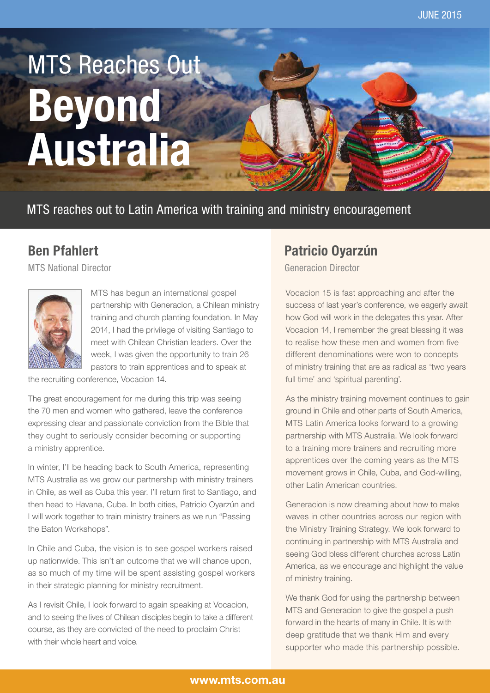## MTS Reaches Out **Beyond Australia**

MTS reaches out to Latin America with training and ministry encouragement

#### **Ben Pfahlert**

MTS National Director



MTS has begun an international gospel partnership with Generacion, a Chilean ministry training and church planting foundation. In May 2014, I had the privilege of visiting Santiago to meet with Chilean Christian leaders. Over the week, I was given the opportunity to train 26 pastors to train apprentices and to speak at

the recruiting conference, Vocacion 14.

The great encouragement for me during this trip was seeing the 70 men and women who gathered, leave the conference expressing clear and passionate conviction from the Bible that they ought to seriously consider becoming or supporting a ministry apprentice.

In winter, I'll be heading back to South America, representing MTS Australia as we grow our partnership with ministry trainers in Chile, as well as Cuba this year. I'll return first to Santiago, and then head to Havana, Cuba. In both cities, Patricio Oyarzún and I will work together to train ministry trainers as we run "Passing the Baton Workshops".

In Chile and Cuba, the vision is to see gospel workers raised up nationwide. This isn't an outcome that we will chance upon, as so much of my time will be spent assisting gospel workers in their strategic planning for ministry recruitment.

As I revisit Chile, I look forward to again speaking at Vocacion, and to seeing the lives of Chilean disciples begin to take a different course, as they are convicted of the need to proclaim Christ with their whole heart and voice.

#### **Patricio Oyarzún**

Generacion Director

Vocacion 15 is fast approaching and after the success of last year's conference, we eagerly await how God will work in the delegates this year. After Vocacion 14, I remember the great blessing it was to realise how these men and women from five different denominations were won to concepts of ministry training that are as radical as 'two years full time' and 'spiritual parenting'.

As the ministry training movement continues to gain ground in Chile and other parts of South America, MTS Latin America looks forward to a growing partnership with MTS Australia. We look forward to a training more trainers and recruiting more apprentices over the coming years as the MTS movement grows in Chile, Cuba, and God-willing, other Latin American countries.

Generacion is now dreaming about how to make waves in other countries across our region with the Ministry Training Strategy. We look forward to continuing in partnership with MTS Australia and seeing God bless different churches across Latin America, as we encourage and highlight the value of ministry training.

We thank God for using the partnership between MTS and Generacion to give the gospel a push forward in the hearts of many in Chile. It is with deep gratitude that we thank Him and every supporter who made this partnership possible.